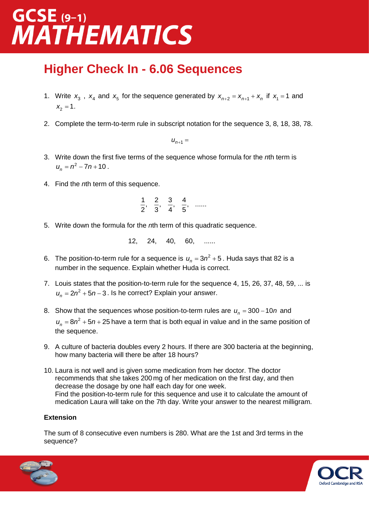## $GCSE$  (9-1) **MATHEMATICS**

### **Higher Check In - 6.06 Sequences**

- 1. Write  $x_3$ ,  $x_4$  and  $x_5$  for the sequence generated by  $x_{n+2} = x_{n+1} + x_n$  if  $x_1 = 1$  and  $x_2 = 1$ .
- 2. Complete the term-to-term rule in subscript notation for the sequence 3, 8, 18, 38, 78.

 $u_{n+1} =$ 

- 3. Write down the first five terms of the sequence whose formula for the *n*th term is  $u_n = n^2 - 7n + 10$ .
- 4. Find the *n*th term of this sequence.

$$
\frac{1}{2}, \quad \frac{2}{3}, \quad \frac{3}{4}, \quad \frac{4}{5}, \quad \dots
$$

5. Write down the formula for the *n*th term of this quadratic sequence.

12, 24, 40, 60, ......

- 6. The position-to-term rule for a sequence is  $u_n = 3n^2 + 5$ . Huda says that 82 is a number in the sequence. Explain whether Huda is correct.
- 7. Louis states that the position-to-term rule for the sequence 4, 15, 26, 37, 48, 59, ... is  $u_n = 2n^2 + 5n - 3$  . Is he correct? Explain your answer.
- 8. Show that the sequences whose position-to-term rules are  $u_n = 300 10n$  and  $u_n = 8n^2 + 5n + 25$  have a term that is both equal in value and in the same position of the sequence.
- 9. A culture of bacteria doubles every 2 hours. If there are 300 bacteria at the beginning, how many bacteria will there be after 18 hours?
- 10. Laura is not well and is given some medication from her doctor. The doctor recommends that she takes 200 mg of her medication on the first day, and then decrease the dosage by one half each day for one week. Find the position-to-term rule for this sequence and use it to calculate the amount of medication Laura will take on the 7th day. Write your answer to the nearest milligram.

#### **Extension**

The sum of 8 consecutive even numbers is 280. What are the 1st and 3rd terms in the sequence?



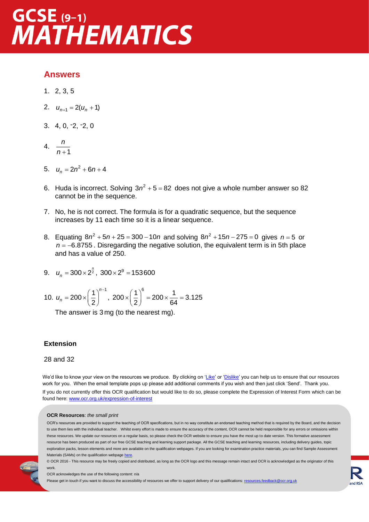## $GCSE(9-1)$ **MATHEMATICS**

#### **Answers**

- 1. 2, 3, 5
- 2.  $u_{n+1} = 2(u_n + 1)$
- $3. \quad 4, 0, -2, -2, 0$
- 4.  $\frac{n}{n+1}$ *n n*
- 5.  $u_n = 2n^2 + 6n + 4$
- 6. Huda is incorrect. Solving  $3n^2 + 5 = 82$  does not give a whole number answer so 82 cannot be in the sequence.
- 7. No, he is not correct. The formula is for a quadratic sequence, but the sequence increases by 11 each time so it is a linear sequence.
- 8. Equating  $8n^2 + 5n + 25 = 300 10n$  and solving  $8n^2 + 15n 275 = 0$  gives  $n = 5$  or  $n = -6.8755$ . Disregarding the negative solution, the equivalent term is in 5th place and has a value of 250.
- 9.  $u_n = 300 \times 2^{\frac{n}{2}}$ ,  $300 \times 2^9 = 153600$
- 10.  $200 \times \left(\frac{1}{1}\right)^{n-1}$ 2 *<sup>u</sup><sup>n</sup>*  $(1)^{n-}$  $=200\times\left(\frac{1}{2}\right)$  ,  $200 \times \left(\frac{1}{2}\right)^6 = 200 \times \frac{1}{2} = 3.125$ 2 64  $\times \left(\frac{1}{2}\right)^{\circ} = 200 \times \frac{1}{64} =$

The answer is 3 mg (to the nearest mg).

#### **Extension**

#### 28 and 32

We'd like to know your view on the resources we produce. By clicking on ['Like'](mailto:resources.feedback@ocr.org.uk?subject=I%20liked%20the%20GCSE%20(9-1)%20Mathematics%20Higher%20Check%20In%20–%206.06%20Sequences) or ['Dislike'](mailto:resources.feedback@ocr.org.uk?subject=I%20disliked%20the%20GCSE%20(9-1)%20Mathematics%20Higher%20Check%20In%20–%206.06%20Sequences) you can help us to ensure that our resources work for you. When the email template pops up please add additional comments if you wish and then just click 'Send'. Thank you. If you do not currently offer this OCR qualification but would like to do so, please complete the Expression of Interest Form which can be found here[: www.ocr.org.uk/expression-of-interest](http://www.ocr.org.uk/expression-of-interest)

#### **OCR Resources**: *the small print*

OCR's resources are provided to support the teaching of OCR specifications, but in no way constitute an endorsed teaching method that is required by the Board, and the decision to use them lies with the individual teacher. Whilst every effort is made to ensure the accuracy of the content, OCR cannot be held responsible for any errors or omissions within these resources. We update our resources on a regular basis, so please check the OCR website to ensure you have the most up to date version. This formative assessment resource has been produced as part of our free GCSE teaching and learning support package. All the GCSE teaching and learning resources, including delivery guides, topic exploration packs, lesson elements and more are available on the qualification webpages. If you are looking for examination practice materials, you can find Sample Assessment Materials (SAMs) on the qualification webpag[e here.](http://www.ocr.org.uk/qualifications/gcse-mathematics-j560-from-2015/delivery-guide/delivery-guide-gmdg009-section-09-congruence-and-similarity/)



© OCR 2016 - This resource may be freely copied and distributed, as long as the OCR logo and this message remain intact and OCR is acknowledged as the originator of this work.

#### OCR acknowledges the use of the following content: n/a

Please get in touch if you want to discuss the accessibility of resources we offer to support delivery of our qualifications: resources feedback@ocr.org.uk